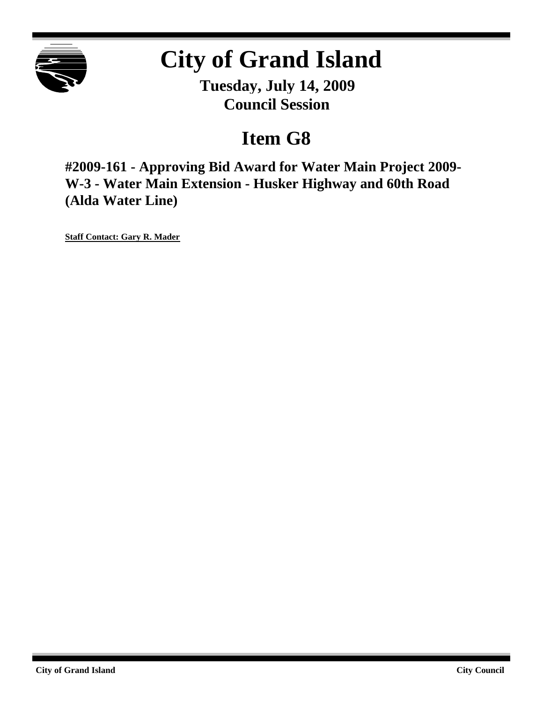

# **City of Grand Island**

**Tuesday, July 14, 2009 Council Session**

## **Item G8**

**#2009-161 - Approving Bid Award for Water Main Project 2009- W-3 - Water Main Extension - Husker Highway and 60th Road (Alda Water Line)**

**Staff Contact: Gary R. Mader**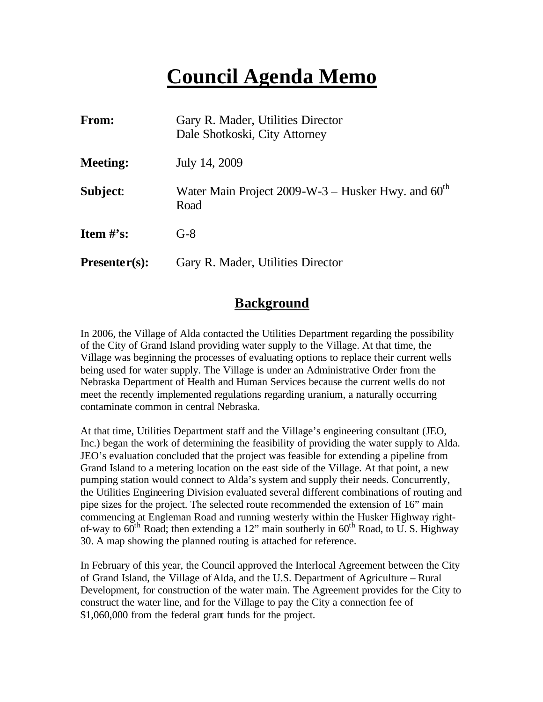## **Council Agenda Memo**

| From:           | Gary R. Mader, Utilities Director<br>Dale Shotkoski, City Attorney     |
|-----------------|------------------------------------------------------------------------|
| <b>Meeting:</b> | July 14, 2009                                                          |
| Subject:        | Water Main Project 2009-W-3 – Husker Hwy. and $60^{\text{th}}$<br>Road |
| Item $#$ 's:    | $G-8$                                                                  |
| $Presenter(s):$ | Gary R. Mader, Utilities Director                                      |

#### **Background**

In 2006, the Village of Alda contacted the Utilities Department regarding the possibility of the City of Grand Island providing water supply to the Village. At that time, the Village was beginning the processes of evaluating options to replace their current wells being used for water supply. The Village is under an Administrative Order from the Nebraska Department of Health and Human Services because the current wells do not meet the recently implemented regulations regarding uranium, a naturally occurring contaminate common in central Nebraska.

At that time, Utilities Department staff and the Village's engineering consultant (JEO, Inc.) began the work of determining the feasibility of providing the water supply to Alda. JEO's evaluation concluded that the project was feasible for extending a pipeline from Grand Island to a metering location on the east side of the Village. At that point, a new pumping station would connect to Alda's system and supply their needs. Concurrently, the Utilities Engineering Division evaluated several different combinations of routing and pipe sizes for the project. The selected route recommended the extension of 16" main commencing at Engleman Road and running westerly within the Husker Highway rightof-way to  $60^{\text{th}}$  Road; then extending a 12" main southerly in  $60^{\text{th}}$  Road, to U. S. Highway 30. A map showing the planned routing is attached for reference.

In February of this year, the Council approved the Interlocal Agreement between the City of Grand Island, the Village of Alda, and the U.S. Department of Agriculture – Rural Development, for construction of the water main. The Agreement provides for the City to construct the water line, and for the Village to pay the City a connection fee of \$1,060,000 from the federal grant funds for the project.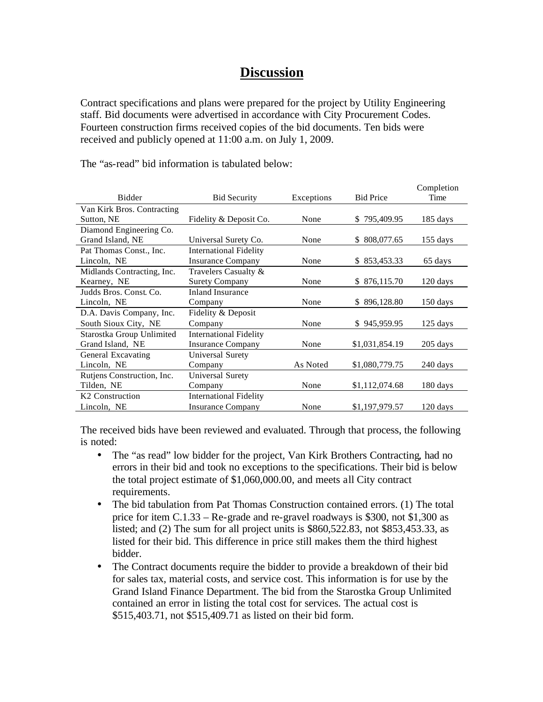### **Discussion**

Contract specifications and plans were prepared for the project by Utility Engineering staff. Bid documents were advertised in accordance with City Procurement Codes. Fourteen construction firms received copies of the bid documents. Ten bids were received and publicly opened at 11:00 a.m. on July 1, 2009.

The "as-read" bid information is tabulated below:

|                             |                               |            |                  | Completion         |
|-----------------------------|-------------------------------|------------|------------------|--------------------|
| <b>Bidder</b>               | <b>Bid Security</b>           | Exceptions | <b>Bid Price</b> | Time               |
| Van Kirk Bros. Contracting  |                               |            |                  |                    |
| Sutton, NE                  | Fidelity & Deposit Co.        | None       | \$795,409.95     | $185 \text{ days}$ |
| Diamond Engineering Co.     |                               |            |                  |                    |
| Grand Island, NE            | Universal Surety Co.          | None       | \$ 808,077.65    | $155$ days         |
| Pat Thomas Const., Inc.     | <b>International Fidelity</b> |            |                  |                    |
| Lincoln, NE                 | <b>Insurance Company</b>      | None       | \$853,453.33     | 65 days            |
| Midlands Contracting, Inc.  | Travelers Casualty &          |            |                  |                    |
| Kearney, NE                 | <b>Surety Company</b>         | None       | \$ 876,115.70    | $120 \text{ days}$ |
| Judds Bros. Const. Co.      | <b>Inland Insurance</b>       |            |                  |                    |
| Lincoln, NE                 | Company                       | None       | \$896,128.80     | $150 \text{ days}$ |
| D.A. Davis Company, Inc.    | Fidelity & Deposit            |            |                  |                    |
| South Sioux City, NE        | Company                       | None       | \$945,959.95     | $125 \text{ days}$ |
| Starostka Group Unlimited   | <b>International Fidelity</b> |            |                  |                    |
| Grand Island, NE            | <b>Insurance Company</b>      | None       | \$1,031,854.19   | 205 days           |
| General Excavating          | Universal Surety              |            |                  |                    |
| Lincoln, NE                 | Company                       | As Noted   | \$1,080,779.75   | 240 days           |
| Rutjens Construction, Inc.  | Universal Surety              |            |                  |                    |
| Tilden, NE                  | Company                       | None       | \$1,112,074.68   | 180 days           |
| K <sub>2</sub> Construction | <b>International Fidelity</b> |            |                  |                    |
| Lincoln, NE                 | <b>Insurance Company</b>      | None       | \$1,197,979.57   | 120 days           |

The received bids have been reviewed and evaluated. Through that process, the following is noted:

- The "as read" low bidder for the project, Van Kirk Brothers Contracting, had no errors in their bid and took no exceptions to the specifications. Their bid is below the total project estimate of \$1,060,000.00, and meets all City contract requirements.
- The bid tabulation from Pat Thomas Construction contained errors. (1) The total price for item C.1.33 – Re-grade and re-gravel roadways is \$300, not \$1,300 as listed; and (2) The sum for all project units is \$860,522.83, not \$853,453.33, as listed for their bid. This difference in price still makes them the third highest bidder.
- The Contract documents require the bidder to provide a breakdown of their bid for sales tax, material costs, and service cost. This information is for use by the Grand Island Finance Department. The bid from the Starostka Group Unlimited contained an error in listing the total cost for services. The actual cost is \$515,403.71, not \$515,409.71 as listed on their bid form.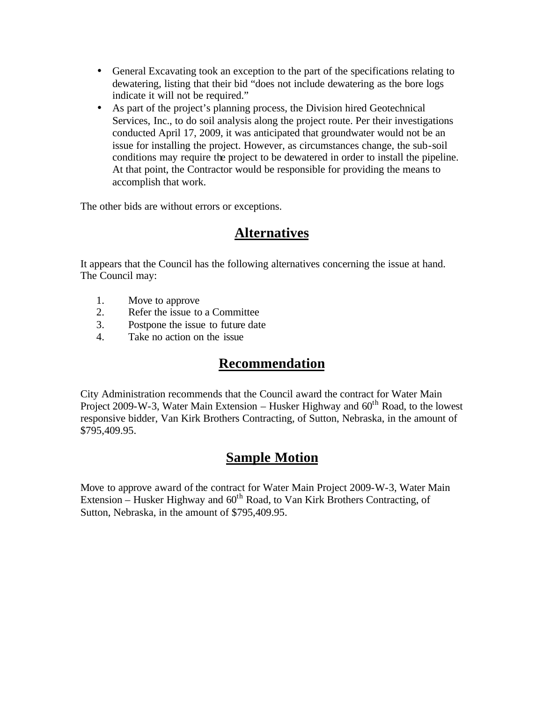- General Excavating took an exception to the part of the specifications relating to dewatering, listing that their bid "does not include dewatering as the bore logs indicate it will not be required."
- As part of the project's planning process, the Division hired Geotechnical Services, Inc., to do soil analysis along the project route. Per their investigations conducted April 17, 2009, it was anticipated that groundwater would not be an issue for installing the project. However, as circumstances change, the sub-soil conditions may require the project to be dewatered in order to install the pipeline. At that point, the Contractor would be responsible for providing the means to accomplish that work.

The other bids are without errors or exceptions.

#### **Alternatives**

It appears that the Council has the following alternatives concerning the issue at hand. The Council may:

- 1. Move to approve
- 2. Refer the issue to a Committee
- 3. Postpone the issue to future date
- 4. Take no action on the issue

## **Recommendation**

City Administration recommends that the Council award the contract for Water Main Project 2009-W-3, Water Main Extension – Husker Highway and  $60<sup>th</sup>$  Road, to the lowest responsive bidder, Van Kirk Brothers Contracting, of Sutton, Nebraska, in the amount of \$795,409.95.

## **Sample Motion**

Move to approve award of the contract for Water Main Project 2009-W-3, Water Main Extension – Husker Highway and  $60<sup>th</sup>$  Road, to Van Kirk Brothers Contracting, of Sutton, Nebraska, in the amount of \$795,409.95.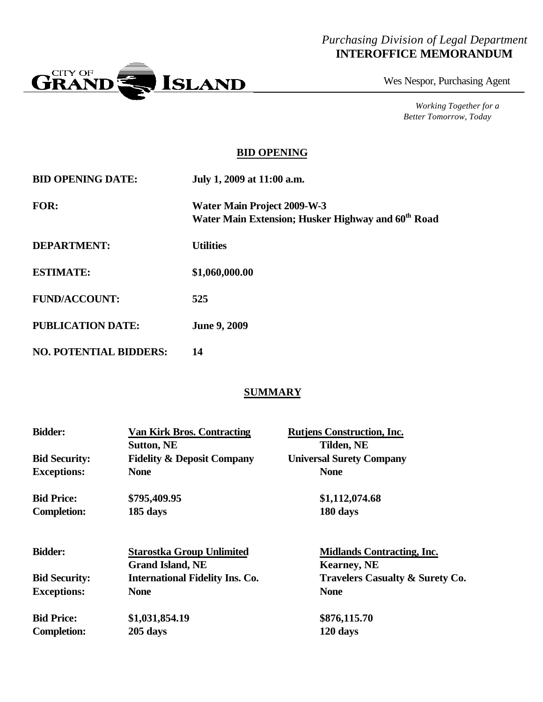#### *Purchasing Division of Legal Department* **INTEROFFICE MEMORANDUM**



Wes Nespor, Purchasing Agent

*Working Together for a Better Tomorrow, Today*

#### **BID OPENING**

| <b>BID OPENING DATE:</b>      | July 1, 2009 at 11:00 a.m.                                                                           |
|-------------------------------|------------------------------------------------------------------------------------------------------|
| <b>FOR:</b>                   | <b>Water Main Project 2009-W-3</b><br>Water Main Extension; Husker Highway and 60 <sup>th</sup> Road |
| <b>DEPARTMENT:</b>            | <b>Utilities</b>                                                                                     |
| <b>ESTIMATE:</b>              | \$1,060,000.00                                                                                       |
| <b>FUND/ACCOUNT:</b>          | 525                                                                                                  |
| <b>PUBLICATION DATE:</b>      | <b>June 9, 2009</b>                                                                                  |
| <b>NO. POTENTIAL BIDDERS:</b> | 14                                                                                                   |

#### **SUMMARY**

| <b>Bidder:</b>       | <b>Van Kirk Bros. Contracting</b><br><b>Sutton, NE</b> | <b>Rutjens Construction, Inc.</b><br>Tilden, NE |
|----------------------|--------------------------------------------------------|-------------------------------------------------|
| <b>Bid Security:</b> | <b>Fidelity &amp; Deposit Company</b>                  | <b>Universal Surety Company</b>                 |
| <b>Exceptions:</b>   | <b>None</b>                                            | <b>None</b>                                     |
| <b>Bid Price:</b>    | \$795,409.95                                           | \$1,112,074.68                                  |
| <b>Completion:</b>   | 185 days                                               | 180 days                                        |
| <b>Bidder:</b>       | <b>Starostka Group Unlimited</b>                       | <b>Midlands Contracting, Inc.</b>               |
|                      | <b>Grand Island, NE</b>                                | <b>Kearney, NE</b>                              |
| <b>Bid Security:</b> | <b>International Fidelity Ins. Co.</b>                 | <b>Travelers Casualty &amp; Surety Co.</b>      |
| <b>Exceptions:</b>   | <b>None</b>                                            | <b>None</b>                                     |
| <b>Bid Price:</b>    | \$1,031,854.19                                         | \$876,115.70                                    |
| <b>Completion:</b>   | 205 days                                               | 120 days                                        |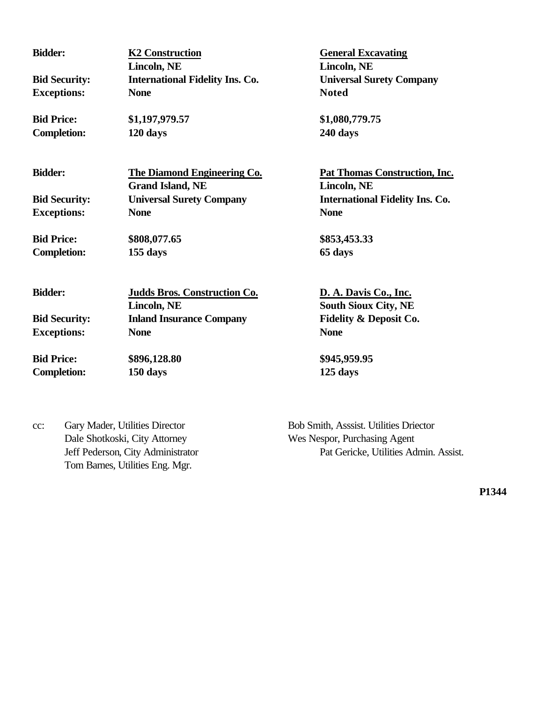**Lincoln, NE Lincoln, NE Bid Security: International Fidelity Ins. Co. Universal Surety Company Exceptions: None Noted**

**Completion: 120 days 240 days**

**Bidder: K2 Construction General Excavating** 

**Bid Price: \$1,197,979.57 \$1,080,779.75**

**Bidder: The Diamond Engineering Co. Pat Thomas Construction, Inc. Grand Island, NE Lincoln, NE Bid Security: Universal Surety Company International Fidelity Ins. Co. Exceptions: None None**

**Bid Price: \$808,077.65 \$853,453.33 Completion: 155 days 65 days**

| <b>Bidder:</b>       | <b>Judds Bros. Construction Co.</b><br>Lincoln, NE | D. A. Davis Co., Inc.<br><b>South Sioux City, NE</b> |
|----------------------|----------------------------------------------------|------------------------------------------------------|
| <b>Bid Security:</b> | <b>Inland Insurance Company</b>                    | <b>Fidelity &amp; Deposit Co.</b>                    |
| <b>Exceptions:</b>   | <b>None</b>                                        | <b>None</b>                                          |
| <b>Bid Price:</b>    | \$896,128.80                                       | \$945,959.95                                         |
| <b>Completion:</b>   | 150 days                                           | 125 days                                             |

cc: Gary Mader, Utilities Director Bob Smith, Asssist. Utilities Driector Dale Shotkoski, City Attorney Wes Nespor, Purchasing Agent Tom Barnes, Utilities Eng. Mgr.

Jeff Pederson, City Administrator Pat Gericke, Utilities Admin. Assist.

**P1344**